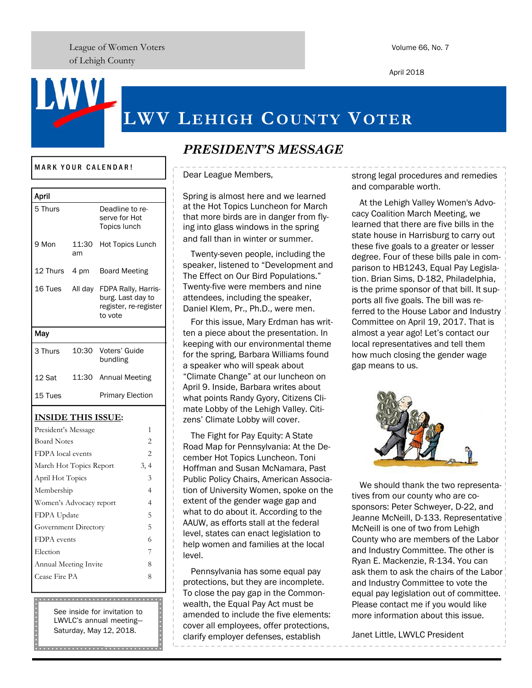League of Women Voters of Lehigh County

Volume 66, No. 7

April 2018

# **LWV LEHIGH COUNTY VOTER**

#### MARK YOUR CALENDAR!

| April                     |             |                                                                              |
|---------------------------|-------------|------------------------------------------------------------------------------|
| 5 Thurs                   |             | Deadline to re-<br>serve for Hot<br><b>Topics lunch</b>                      |
| 9 Mon                     | 11:30<br>am | <b>Hot Topics Lunch</b>                                                      |
| 12 Thurs 4 pm             |             | <b>Board Meeting</b>                                                         |
| 16 Tues All day           |             | FDPA Rally, Harris-<br>burg. Last day to<br>register, re-register<br>to vote |
| May                       |             |                                                                              |
| 3 Thurs                   | 10:30       | Voters' Guide<br>bundling                                                    |
| 12 Sat                    | 11:30       | <b>Annual Meeting</b>                                                        |
| 15 Tues                   |             | <b>Primary Election</b>                                                      |
| <b>INSIDE THIS ISSUE:</b> |             |                                                                              |
| President's Message       |             | 1                                                                            |
| <b>Board Notes</b>        |             | $\overline{2}$                                                               |
| FDPA local events         |             | $\overline{2}$                                                               |
| March Hot Topics Report   |             | 3, 4                                                                         |
| April Hot Topics          |             | 3                                                                            |
| Membership                |             | 4                                                                            |
| Women's Advocacy report   |             | 4                                                                            |
| FDPA Update               | 5           |                                                                              |
| Government Directory      |             | 5                                                                            |
| FDPA events               |             | 6                                                                            |
| Election                  | 7           |                                                                              |
| Annual Meeting Invite     |             | 8                                                                            |
| Cease Fire PA             |             | 8                                                                            |
|                           |             |                                                                              |

See inside for invitation to LWVLC's annual meeting— Saturday, May 12, 2018.

|<br>|<br>|<br>|<br>|<br>|

## *PRESIDENT'S MESSAGE*

Dear League Members,

Spring is almost here and we learned at the Hot Topics Luncheon for March that more birds are in danger from flying into glass windows in the spring and fall than in winter or summer.

Twenty-seven people, including the speaker, listened to "Development and The Effect on Our Bird Populations." Twenty-five were members and nine attendees, including the speaker, Daniel Klem, Pr., Ph.D., were men.

For this issue, Mary Erdman has written a piece about the presentation. In keeping with our environmental theme for the spring, Barbara Williams found a speaker who will speak about "Climate Change" at our luncheon on April 9. Inside, Barbara writes about what points Randy Gyory, Citizens Climate Lobby of the Lehigh Valley. Citizens' Climate Lobby will cover.

The Fight for Pay Equity: A State Road Map for Pennsylvania: At the December Hot Topics Luncheon. Toni Hoffman and Susan McNamara, Past Public Policy Chairs, American Association of University Women, spoke on the extent of the gender wage gap and what to do about it. According to the AAUW, as efforts stall at the federal level, states can enact legislation to help women and families at the local level.

Pennsylvania has some equal pay protections, but they are incomplete. To close the pay gap in the Commonwealth, the Equal Pay Act must be amended to include the five elements: cover all employees, offer protections, clarify employer defenses, establish

strong legal procedures and remedies and comparable worth.

At the Lehigh Valley Women's Advocacy Coalition March Meeting, we learned that there are five bills in the state house in Harrisburg to carry out these five goals to a greater or lesser degree. Four of these bills pale in comparison to HB1243, Equal Pay Legislation. Brian Sims, D-182, Philadelphia, is the prime sponsor of that bill. It supports all five goals. The bill was referred to the House Labor and Industry Committee on April 19, 2017. That is almost a year ago! Let's contact our local representatives and tell them how much closing the gender wage gap means to us.



We should thank the two representatives from our county who are cosponsors: Peter Schweyer, D-22, and Jeanne McNeill, D-133. Representative McNeill is one of two from Lehigh County who are members of the Labor and Industry Committee. The other is Ryan E. Mackenzie, R-134. You can ask them to ask the chairs of the Labor and Industry Committee to vote the equal pay legislation out of committee. Please contact me if you would like more information about this issue.

Janet Little, LWVLC President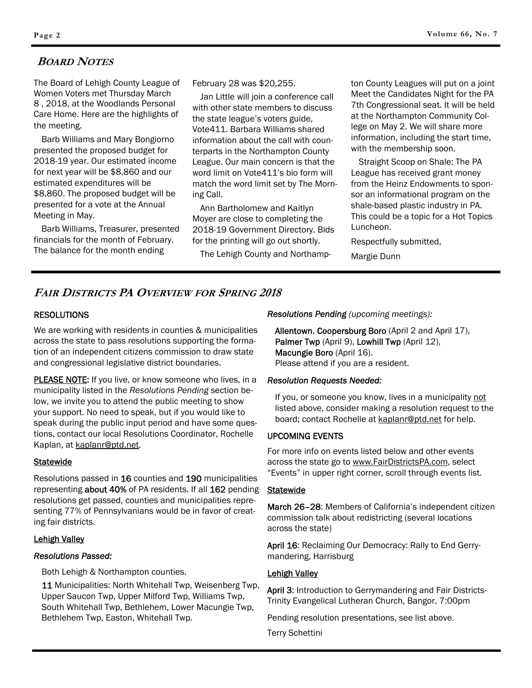### **BOARD NOTES**

The Board of Lehigh County League of Women Voters met Thursday March 8 , 2018, at the Woodlands Personal Care Home. Here are the highlights of the meeting.

Barb Williams and Mary Bongiorno presented the proposed budget for 2018-19 year. Our estimated income for next year will be \$8,860 and our estimated expenditures will be \$8,860. The proposed budget will be presented for a vote at the Annual Meeting in May.

Barb Williams, Treasurer, presented financials for the month of February. The balance for the month ending

February 28 was \$20,255.

Jan Little will join a conference call with other state members to discuss the state league's voters guide, Vote411. Barbara Williams shared information about the call with counterparts in the Northampton County League. Our main concern is that the word limit on Vote411's bio form will match the word limit set by The Morning Call.

Ann Bartholomew and Kaitlyn Moyer are close to completing the 2018-19 Government Directory. Bids for the printing will go out shortly.

The Lehigh County and Northamp-

ton County Leagues will put on a joint Meet the Candidates Night for the PA 7th Congressional seat. It will be held at the Northampton Community College on May 2. We will share more information, including the start time, with the membership soon.

Straight Scoop on Shale: The PA League has received grant money from the Heinz Endowments to sponsor an informational program on the shale-based plastic industry in PA. This could be a topic for a Hot Topics Luncheon.

Respectfully submitted,

Margie Dunn

### **FAIR DISTRICTS PA OVERVIEW FOR SPRING 2018**

### RESOLUTIONS

We are working with residents in counties & municipalities across the state to pass resolutions supporting the formation of an independent citizens commission to draw state and congressional legislative district boundaries.

PLEASE NOTE: If you live, or know someone who lives, in a municipality listed in the *Resolutions Pending* section below, we invite you to attend the public meeting to show your support. No need to speak, but if you would like to speak during the public input period and have some questions, contact our local Resolutions Coordinator, Rochelle Kaplan, at kaplanr@ptd.net.

### Statewide

Resolutions passed in 16 counties and 190 municipalities representing **about 40%** of PA residents. If all 162 pending resolutions get passed, counties and municipalities representing 77% of Pennsylvanians would be in favor of creating fair districts.

### Lehigh Valley

### *Resolutions Passed:*

Both Lehigh & Northampton counties.

11 Municipalities: North Whitehall Twp, Weisenberg Twp, Upper Saucon Twp, Upper Milford Twp, Williams Twp, South Whitehall Twp, Bethlehem, Lower Macungie Twp, Bethlehem Twp, Easton, Whitehall Twp.

*Resolutions Pending (upcoming meetings):*

Allentown, Coopersburg Boro (April 2 and April 17), Palmer Twp (April 9), Lowhill Twp (April 12), Macungie Boro (April 16). Please attend if you are a resident.

#### *Resolution Requests Needed:*

If you, or someone you know, lives in a municipality not listed above, consider making a resolution request to the board; contact Rochelle at kaplanr@ptd.net for help.

### UPCOMING EVENTS

For more info on events listed below and other events across the state go to www.FairDistrictsPA.com, select "Events" in upper right corner, scroll through events list.

#### **Statewide**

March 26-28: Members of California's independent citizen commission talk about redistricting (several locations across the state)

April 16: Reclaiming Our Democracy: Rally to End Gerrymandering, Harrisburg

### Lehigh Valley

April 3: Introduction to Gerrymandering and Fair Districts-Trinity Evangelical Lutheran Church, Bangor, 7:00pm

Pending resolution presentations, see list above.

Terry Schettini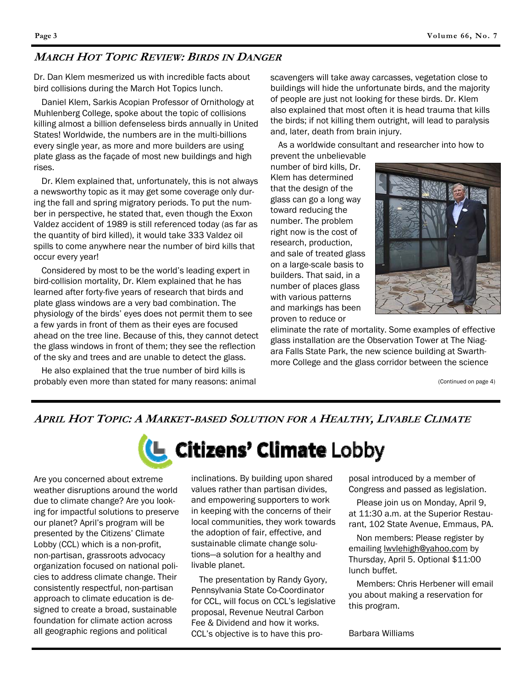### **MARCH HOT TOPIC REVIEW: BIRDS IN DANGER**

Dr. Dan Klem mesmerized us with incredible facts about bird collisions during the March Hot Topics lunch.

Daniel Klem, Sarkis Acopian Professor of Ornithology at Muhlenberg College, spoke about the topic of collisions killing almost a billion defenseless birds annually in United States! Worldwide, the numbers are in the multi-billions every single year, as more and more builders are using plate glass as the façade of most new buildings and high rises.

Dr. Klem explained that, unfortunately, this is not always a newsworthy topic as it may get some coverage only during the fall and spring migratory periods. To put the number in perspective, he stated that, even though the Exxon Valdez accident of 1989 is still referenced today (as far as the quantity of bird killed), it would take 333 Valdez oil spills to come anywhere near the number of bird kills that occur every year!

Considered by most to be the world's leading expert in bird-collision mortality, Dr. Klem explained that he has learned after forty-five years of research that birds and plate glass windows are a very bad combination. The physiology of the birds' eyes does not permit them to see a few yards in front of them as their eyes are focused ahead on the tree line. Because of this, they cannot detect the glass windows in front of them; they see the reflection of the sky and trees and are unable to detect the glass.

He also explained that the true number of bird kills is probably even more than stated for many reasons: animal

scavengers will take away carcasses, vegetation close to buildings will hide the unfortunate birds, and the majority of people are just not looking for these birds. Dr. Klem also explained that most often it is head trauma that kills the birds; if not killing them outright, will lead to paralysis and, later, death from brain injury.

As a worldwide consultant and researcher into how to

prevent the unbelievable number of bird kills, Dr. Klem has determined that the design of the glass can go a long way toward reducing the number. The problem right now is the cost of research, production, and sale of treated glass on a large-scale basis to builders. That said, in a number of places glass with various patterns and markings has been proven to reduce or



eliminate the rate of mortality. Some examples of effective glass installation are the Observation Tower at The Niagara Falls State Park, the new science building at Swarthmore College and the glass corridor between the science

(Continued on page 4)

### April Hot Topic: A Market-based Solution for a Healthy, Livable Climate



Are you concerned about extreme weather disruptions around the world due to climate change? Are you looking for impactful solutions to preserve our planet? April's program will be presented by the Citizens' Climate Lobby (CCL) which is a non-profit, non-partisan, grassroots advocacy organization focused on national policies to address climate change. Their consistently respectful, non-partisan approach to climate education is designed to create a broad, sustainable foundation for climate action across all geographic regions and political

inclinations. By building upon shared values rather than partisan divides, and empowering supporters to work in keeping with the concerns of their local communities, they work towards the adoption of fair, effective, and sustainable climate change solutions—a solution for a healthy and livable planet.

The presentation by Randy Gyory, Pennsylvania State Co-Coordinator for CCL, will focus on CCL's legislative proposal, Revenue Neutral Carbon Fee & Dividend and how it works. CCL's objective is to have this pro-

posal introduced by a member of Congress and passed as legislation.

Please join us on Monday, April 9, at 11:30 a.m. at the Superior Restaurant, 102 State Avenue, Emmaus, PA.

Non members: Please register by emailing **lwvlehigh@yahoo.com** by Thursday, April 5. Optional \$11:00 lunch buffet.

Members: Chris Herbener will email you about making a reservation for this program.

Barbara Williams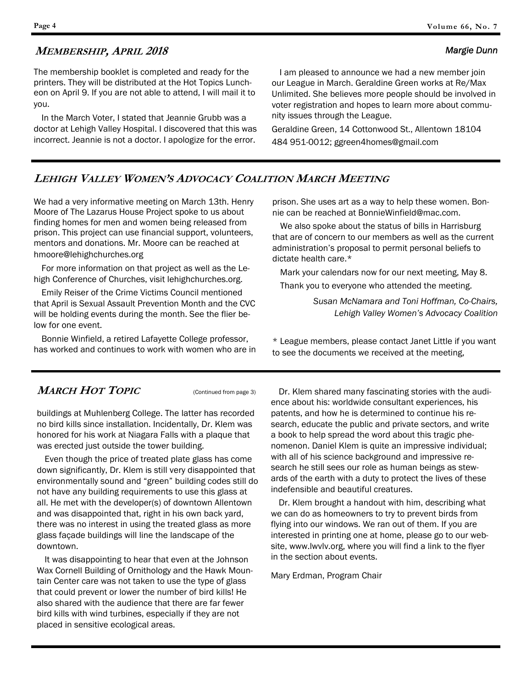### **MEMBERSHIP, APRIL 2018**

The membership booklet is completed and ready for the printers. They will be distributed at the Hot Topics Luncheon on April 9. If you are not able to attend, I will mail it to you.

In the March Voter, I stated that Jeannie Grubb was a doctor at Lehigh Valley Hospital. I discovered that this was incorrect. Jeannie is not a doctor. I apologize for the error.

I am pleased to announce we had a new member join our League in March. Geraldine Green works at Re/Max Unlimited. She believes more people should be involved in voter registration and hopes to learn more about community issues through the League.

Geraldine Green, 14 Cottonwood St., Allentown 18104 484 951-0012; ggreen4homes@gmail.com

### **LEHIGH VALLEY WOMEN'S ADVOCACY COALITION MARCH MEETING**

We had a very informative meeting on March 13th. Henry Moore of The Lazarus House Project spoke to us about finding homes for men and women being released from prison. This project can use financial support, volunteers, mentors and donations. Mr. Moore can be reached at hmoore@lehighchurches.org

For more information on that project as well as the Lehigh Conference of Churches, visit lehighchurches.org.

Emily Reiser of the Crime Victims Council mentioned that April is Sexual Assault Prevention Month and the CVC will be holding events during the month. See the flier below for one event.

Bonnie Winfield, a retired Lafayette College professor, has worked and continues to work with women who are in

**MARCH HOT TOPIC** (Continued from page 3)

buildings at Muhlenberg College. The latter has recorded no bird kills since installation. Incidentally, Dr. Klem was honored for his work at Niagara Falls with a plaque that was erected just outside the tower building.

Even though the price of treated plate glass has come down significantly, Dr. Klem is still very disappointed that environmentally sound and "green" building codes still do not have any building requirements to use this glass at all. He met with the developer(s) of downtown Allentown and was disappointed that, right in his own back yard, there was no interest in using the treated glass as more glass façade buildings will line the landscape of the downtown.

It was disappointing to hear that even at the Johnson Wax Cornell Building of Ornithology and the Hawk Mountain Center care was not taken to use the type of glass that could prevent or lower the number of bird kills! He also shared with the audience that there are far fewer bird kills with wind turbines, especially if they are not placed in sensitive ecological areas.

prison. She uses art as a way to help these women. Bonnie can be reached at BonnieWinfield@mac.com.

We also spoke about the status of bills in Harrisburg that are of concern to our members as well as the current administration's proposal to permit personal beliefs to dictate health care.\*

Mark your calendars now for our next meeting, May 8. Thank you to everyone who attended the meeting.

> *Susan McNamara and Toni Hoffman, Co-Chairs, Lehigh Valley Women's Advocacy Coalition*

\* League members, please contact Janet Little if you want to see the documents we received at the meeting,

Dr. Klem shared many fascinating stories with the audience about his: worldwide consultant experiences, his patents, and how he is determined to continue his research, educate the public and private sectors, and write a book to help spread the word about this tragic phenomenon. Daniel Klem is quite an impressive individual; with all of his science background and impressive research he still sees our role as human beings as stewards of the earth with a duty to protect the lives of these indefensible and beautiful creatures.

Dr. Klem brought a handout with him, describing what we can do as homeowners to try to prevent birds from flying into our windows. We ran out of them. If you are interested in printing one at home, please go to our website, www.lwvlv.org, where you will find a link to the flyer in the section about events.

Mary Erdman, Program Chair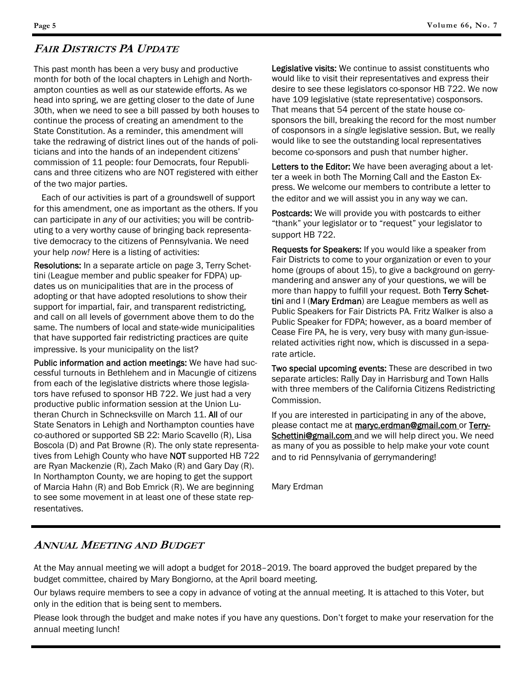### **FAIR DISTRICTS PA UPDATE**

This past month has been a very busy and productive month for both of the local chapters in Lehigh and Northampton counties as well as our statewide efforts. As we head into spring, we are getting closer to the date of June 30th, when we need to see a bill passed by both houses to continue the process of creating an amendment to the State Constitution. As a reminder, this amendment will take the redrawing of district lines out of the hands of politicians and into the hands of an independent citizens' commission of 11 people: four Democrats, four Republicans and three citizens who are NOT registered with either of the two major parties.

Each of our activities is part of a groundswell of support for this amendment, one as important as the others. If you can participate in *any* of our activities; you will be contributing to a very worthy cause of bringing back representative democracy to the citizens of Pennsylvania. We need your help *now!* Here is a listing of activities:

Resolutions: In a separate article on page 3, Terry Schettini (League member and public speaker for FDPA) updates us on municipalities that are in the process of adopting or that have adopted resolutions to show their support for impartial, fair, and transparent redistricting, and call on all levels of government above them to do the same. The numbers of local and state-wide municipalities that have supported fair redistricting practices are quite impressive. Is your municipality on the list?

Public information and action meetings: We have had successful turnouts in Bethlehem and in Macungie of citizens from each of the legislative districts where those legislators have refused to sponsor HB 722. We just had a very productive public information session at the Union Lutheran Church in Schnecksville on March 11. All of our State Senators in Lehigh and Northampton counties have co-authored or supported SB 22: Mario Scavello (R), Lisa Boscola (D) and Pat Browne (R). The only state representatives from Lehigh County who have NOT supported HB 722 are Ryan Mackenzie (R), Zach Mako (R) and Gary Day (R). In Northampton County, we are hoping to get the support of Marcia Hahn (R) and Bob Emrick (R). We are beginning to see some movement in at least one of these state representatives.

Legislative visits: We continue to assist constituents who would like to visit their representatives and express their desire to see these legislators co-sponsor HB 722. We now have 109 legislative (state representative) cosponsors. That means that 54 percent of the state house cosponsors the bill, breaking the record for the most number of cosponsors in a *single* legislative session. But, we really would like to see the outstanding local representatives become co-sponsors and push that number higher.

Letters to the Editor: We have been averaging about a letter a week in both The Morning Call and the Easton Express. We welcome our members to contribute a letter to the editor and we will assist you in any way we can.

Postcards: We will provide you with postcards to either "thank" your legislator or to "request" your legislator to support HB 722.

Requests for Speakers: If you would like a speaker from Fair Districts to come to your organization or even to your home (groups of about 15), to give a background on gerrymandering and answer any of your questions, we will be more than happy to fulfill your request. Both Terry Schettini and I (Mary Erdman) are League members as well as Public Speakers for Fair Districts PA. Fritz Walker is also a Public Speaker for FDPA; however, as a board member of Cease Fire PA, he is very, very busy with many gun-issuerelated activities right now, which is discussed in a separate article.

Two special upcoming events: These are described in two separate articles: Rally Day in Harrisburg and Town Halls with three members of the California Citizens Redistricting Commission.

If you are interested in participating in any of the above, please contact me at **maryc.erdman@gmail.com** or Terry-Schettini@gmail.com and we will help direct you. We need as many of you as possible to help make your vote count and to rid Pennsylvania of gerrymandering!

Mary Erdman

### **ANNUAL MEETING AND BUDGET**

At the May annual meeting we will adopt a budget for 2018–2019. The board approved the budget prepared by the budget committee, chaired by Mary Bongiorno, at the April board meeting.

Our bylaws require members to see a copy in advance of voting at the annual meeting. It is attached to this Voter, but only in the edition that is being sent to members.

Please look through the budget and make notes if you have any questions. Don't forget to make your reservation for the annual meeting lunch!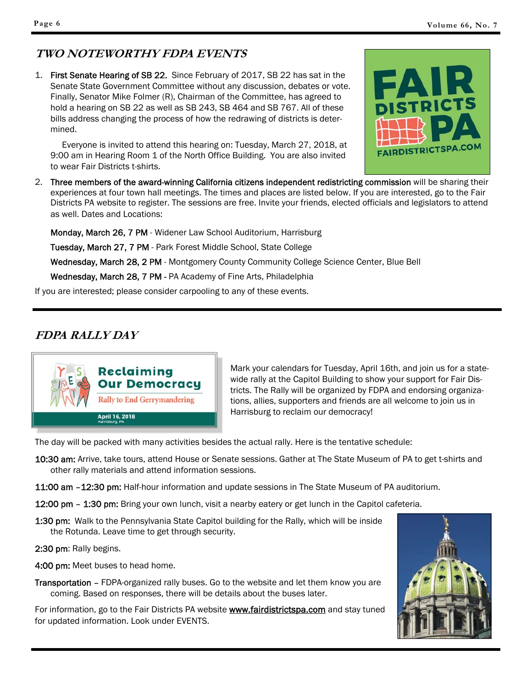# **TWO NOTEWORTHY FDPA EVENTS**

1. First Senate Hearing of SB 22. Since February of 2017, SB 22 has sat in the Senate State Government Committee without any discussion, debates or vote. Finally, Senator Mike Folmer (R), Chairman of the Committee, has agreed to hold a hearing on SB 22 as well as SB 243, SB 464 and SB 767. All of these bills address changing the process of how the redrawing of districts is determined.

 Everyone is invited to attend this hearing on: Tuesday, March 27, 2018, at 9:00 am in Hearing Room 1 of the North Office Building. You are also invited to wear Fair Districts t-shirts.



2. Three members of the award-winning California citizens independent redistricting commission will be sharing their experiences at four town hall meetings. The times and places are listed below. If you are interested, go to the Fair Districts PA website to register. The sessions are free. Invite your friends, elected officials and legislators to attend as well. Dates and Locations:

 Monday, March 26, 7 PM - Widener Law School Auditorium, Harrisburg Tuesday, March 27, 7 PM - Park Forest Middle School, State College Wednesday, March 28, 2 PM - Montgomery County Community College Science Center, Blue Bell Wednesday, March 28, 7 PM - PA Academy of Fine Arts, Philadelphia

If you are interested; please consider carpooling to any of these events.

# **FDPA RALLY DAY**



Mark your calendars for Tuesday, April 16th, and join us for a statewide rally at the Capitol Building to show your support for Fair Districts. The Rally will be organized by FDPA and endorsing organizations, allies, supporters and friends are all welcome to join us in Harrisburg to reclaim our democracy!

The day will be packed with many activities besides the actual rally. Here is the tentative schedule:

- 10:30 am: Arrive, take tours, attend House or Senate sessions. Gather at The State Museum of PA to get t-shirts and other rally materials and attend information sessions.
- 11:00 am -12:30 pm: Half-hour information and update sessions in The State Museum of PA auditorium.
- 12:00 pm 1:30 pm: Bring your own lunch, visit a nearby eatery or get lunch in the Capitol cafeteria.
- 1:30 pm: Walk to the Pennsylvania State Capitol building for the Rally, which will be inside the Rotunda. Leave time to get through security.

2:30 pm: Rally begins.

4:00 pm: Meet buses to head home.

Transportation – FDPA-organized rally buses. Go to the website and let them know you are coming. Based on responses, there will be details about the buses later.

For information, go to the Fair Districts PA website **www.fairdistrictspa.com** and stay tuned for updated information. Look under EVENTS.

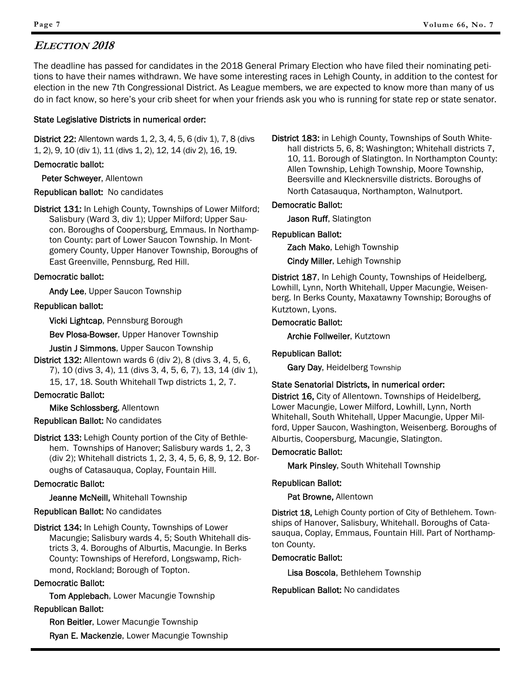### **ELECTION 2018**

The deadline has passed for candidates in the 2018 General Primary Election who have filed their nominating petitions to have their names withdrawn. We have some interesting races in Lehigh County, in addition to the contest for election in the new 7th Congressional District. As League members, we are expected to know more than many of us do in fact know, so here's your crib sheet for when your friends ask you who is running for state rep or state senator.

### State Legislative Districts in numerical order:

District 22: Allentown wards 1, 2, 3, 4, 5, 6 (div 1), 7, 8 (divs 1, 2), 9, 10 (div 1), 11 (divs 1, 2), 12, 14 (div 2), 16, 19.

### Democratic ballot:

Peter Schweyer, Allentown

Republican ballot: No candidates

District 131: In Lehigh County, Townships of Lower Milford; Salisbury (Ward 3, div 1); Upper Milford; Upper Saucon. Boroughs of Coopersburg, Emmaus. In Northampton County: part of Lower Saucon Township. In Montgomery County, Upper Hanover Township, Boroughs of East Greenville, Pennsburg, Red Hill.

### Democratic ballot:

Andy Lee, Upper Saucon Township

### Republican ballot:

Vicki Lightcap, Pennsburg Borough

Bev Plosa-Bowser, Upper Hanover Township

Justin J Simmons, Upper Saucon Township

District 132: Allentown wards 6 (div 2), 8 (divs 3, 4, 5, 6, 7), 10 (divs 3, 4), 11 (divs 3, 4, 5, 6, 7), 13, 14 (div 1), 15, 17, 18. South Whitehall Twp districts 1, 2, 7.

### Democratic Ballot:

Mike Schlossberg, Allentown

### Republican Ballot: No candidates

District 133: Lehigh County portion of the City of Bethlehem. Townships of Hanover; Salisbury wards 1, 2, 3 (div 2); Whitehall districts 1, 2, 3, 4, 5, 6, 8, 9, 12. Boroughs of Catasauqua, Coplay, Fountain Hill.

### Democratic Ballot:

Jeanne McNeill, Whitehall Township

### Republican Ballot: No candidates

District 134: In Lehigh County, Townships of Lower Macungie; Salisbury wards 4, 5; South Whitehall districts 3, 4. Boroughs of Alburtis, Macungie. In Berks County: Townships of Hereford, Longswamp, Richmond, Rockland; Borough of Topton.

### Democratic Ballot:

Tom Applebach, Lower Macungie Township

### Republican Ballot:

Ron Beitler, Lower Macungie Township

Ryan E. Mackenzie, Lower Macungie Township

District 183: in Lehigh County, Townships of South Whitehall districts 5, 6, 8; Washington; Whitehall districts 7, 10, 11. Borough of Slatington. In Northampton County: Allen Township, Lehigh Township, Moore Township, Beersville and Klecknersville districts. Boroughs of North Catasauqua, Northampton, Walnutport.

### Democratic Ballot:

Jason Ruff, Slatington

### Republican Ballot:

Zach Mako, Lehigh Township

Cindy Miller, Lehigh Township

District 187, In Lehigh County, Townships of Heidelberg, Lowhill, Lynn, North Whitehall, Upper Macungie, Weisenberg. In Berks County, Maxatawny Township; Boroughs of Kutztown, Lyons.

### Democratic Ballot:

Archie Follweiler, Kutztown

### Republican Ballot:

Gary Day, Heidelberg Township

### State Senatorial Districts, in numerical order:

District 16, City of Allentown. Townships of Heidelberg, Lower Macungie, Lower Milford, Lowhill, Lynn, North Whitehall, South Whitehall, Upper Macungie, Upper Milford, Upper Saucon, Washington, Weisenberg. Boroughs of Alburtis, Coopersburg, Macungie, Slatington.

### Democratic Ballot:

Mark Pinsley, South Whitehall Township

### Republican Ballot:

Pat Browne, Allentown

District 18, Lehigh County portion of City of Bethlehem. Townships of Hanover, Salisbury, Whitehall. Boroughs of Catasauqua, Coplay, Emmaus, Fountain Hill. Part of Northampton County.

### Democratic Ballot:

Lisa Boscola, Bethlehem Township

Republican Ballot: No candidates